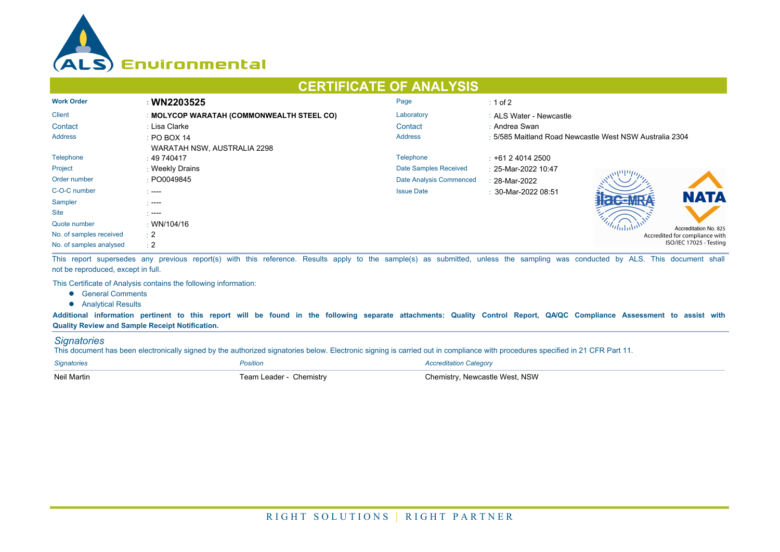

## **CERTIFICATE OF ANALYSIS**

| <b>Work Order</b>       | : WN2203525                               | Page                    | $\div$ 1 of 2                                           |  |  |
|-------------------------|-------------------------------------------|-------------------------|---------------------------------------------------------|--|--|
| <b>Client</b>           | : MOLYCOP WARATAH (COMMONWEALTH STEEL CO) | Laboratory              | : ALS Water - Newcastle                                 |  |  |
| Contact                 | : Lisa Clarke                             | Contact                 | : Andrea Swan                                           |  |  |
| <b>Address</b>          | $\div$ PO BOX 14                          | <b>Address</b>          | : 5/585 Maitland Road Newcastle West NSW Australia 2304 |  |  |
|                         | WARATAH NSW, AUSTRALIA 2298               |                         |                                                         |  |  |
| Telephone               | : 49740417                                | Telephone               | $\div$ +61 2 4014 2500                                  |  |  |
| Project                 | : Weekly Drains                           | Date Samples Received   | : 25-Mar-2022 10:47                                     |  |  |
| Order number            | : PO0049845                               | Date Analysis Commenced | : 28-Mar-2022                                           |  |  |
| C-O-C number            | $\sim$ ----                               | <b>Issue Date</b>       | $\pm$ 30-Mar-2022 08:51                                 |  |  |
| Sampler                 | - ----                                    |                         | <b>NATA</b>                                             |  |  |
| <b>Site</b>             | - ----                                    |                         |                                                         |  |  |
| Quote number            | $\cdot$ WN/104/16                         |                         | Accreditation No. 825                                   |  |  |
| No. of samples received | $\div 2$                                  |                         | Accredited for compliance with                          |  |  |
| No. of samples analysed | $\div 2$                                  |                         | ISO/IEC 17025 - Testing                                 |  |  |

This report supersedes any previous report(s) with this reference. Results apply to the sample(s) as submitted, unless the sampling was conducted by ALS. This document shall not be reproduced, except in full.

This Certificate of Analysis contains the following information:

- **•** General Comments
- **•** Analytical Results

**Additional information pertinent to this report will be found in the following separate attachments: Quality Control Report, QA/QC Compliance Assessment to assist with Quality Review and Sample Receipt Notification.**

## *Signatories*

This document has been electronically signed by the authorized signatories below. Electronic signing is carried out in compliance with procedures specified in 21 CFR Part 11.

| <b>Signatories</b> | Position                | <b>Accreditation Category</b>  |
|--------------------|-------------------------|--------------------------------|
| Neil Martin        | Team Leader - Chemistry | Chemistry, Newcastle West, NSW |